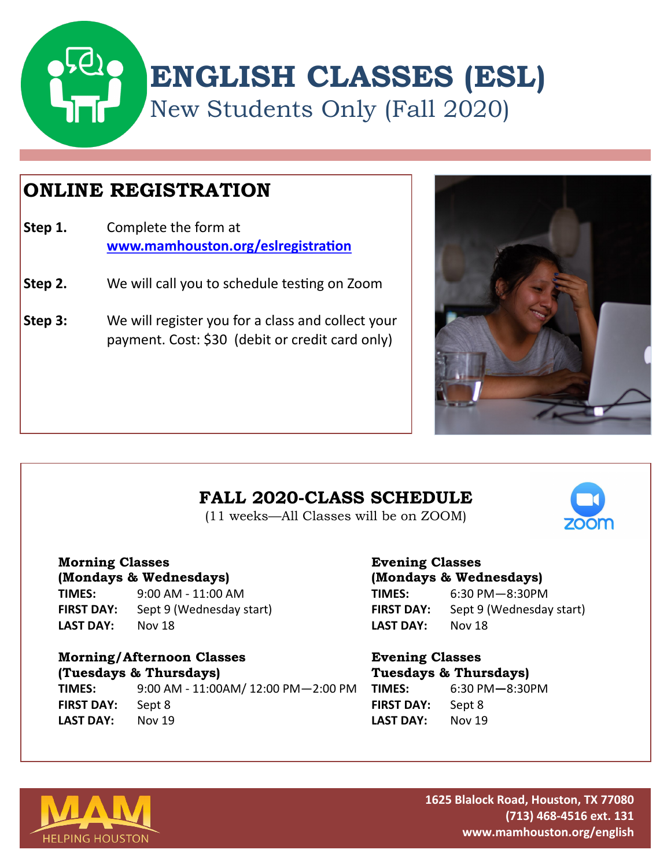

# **ONLINE REGISTRATION**

- **Step 1.** Complete the form at **[www.mamhouston.org/eslregistration](https://www.mamhouston.org/eslregistration)**
- **Step 2.** We will call you to schedule testing on Zoom
- **Step 3:** We will register you for a class and collect your payment. Cost: \$30 (debit or credit card only)



### **FALL 2020-CLASS SCHEDULE**

(11 weeks—All Classes will be on ZOOM)

#### **Morning Classes**

**(Mondays & Wednesdays) TIMES:** 9:00 AM - 11:00 AM **FIRST DAY:** Sept 9 (Wednesday start) **LAST DAY:** Nov 18

#### **Morning/Afternoon Classes (Tuesdays & Thursdays)**

**TIMES:** 9:00 AM - 11:00AM/ 12:00 PM—2:00 PM **FIRST DAY:** Sept 8 **LAST DAY:** Nov 19

#### **Evening Classes (Mondays & Wednesdays) TIMES:** 6:30 PM—8:30PM

**FIRST DAY:** Sept 9 (Wednesday start) **LAST DAY:** Nov 18

### **Evening Classes Tuesdays & Thursdays) TIMES:** 6:30 PM**—**8:30PM

| .          | ------ | ----- |
|------------|--------|-------|
| FIRST DAY: | Sept 8 |       |
| LAST DAY:  | Nov 19 |       |



**1625 Blalock Road, Houston, TX 77080 (713) 468-4516 ext. 131 www.mamhouston.org/english**